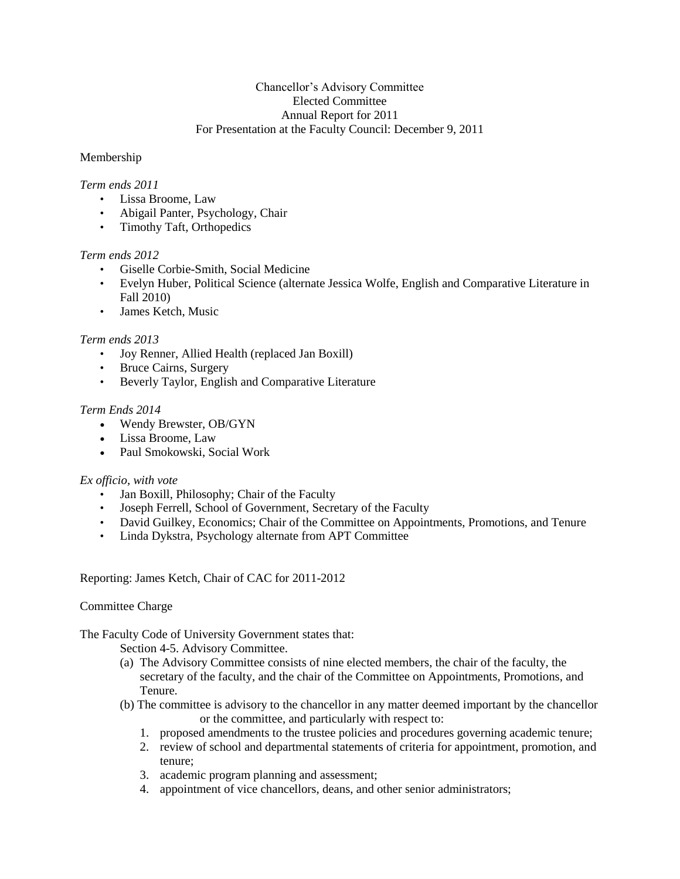# Chancellor's Advisory Committee Elected Committee Annual Report for 2011 For Presentation at the Faculty Council: December 9, 2011

# Membership

### *Term ends 2011*

- Lissa Broome, Law
- Abigail Panter, Psychology, Chair
- Timothy Taft, Orthopedics

### *Term ends 2012*

- Giselle Corbie-Smith, Social Medicine
- Evelyn Huber, Political Science (alternate Jessica Wolfe, English and Comparative Literature in Fall 2010)
- James Ketch, Music

### *Term ends 2013*

- Joy Renner, Allied Health (replaced Jan Boxill)
- Bruce Cairns, Surgery
- Beverly Taylor, English and Comparative Literature

### *Term Ends 2014*

- Wendy Brewster, OB/GYN
- Lissa Broome, Law
- Paul Smokowski, Social Work

#### *Ex officio, with vote*

- Jan Boxill, Philosophy; Chair of the Faculty
- Joseph Ferrell, School of Government, Secretary of the Faculty
- David Guilkey, Economics; Chair of the Committee on Appointments, Promotions, and Tenure
- Linda Dykstra, Psychology alternate from APT Committee

#### Reporting: James Ketch, Chair of CAC for 2011-2012

#### Committee Charge

# The Faculty Code of University Government states that:

Section 4-5. Advisory Committee.

- (a) The Advisory Committee consists of nine elected members, the chair of the faculty, the secretary of the faculty, and the chair of the Committee on Appointments, Promotions, and Tenure.
- (b) The committee is advisory to the chancellor in any matter deemed important by the chancellor or the committee, and particularly with respect to:
	- 1. proposed amendments to the trustee policies and procedures governing academic tenure;
	- 2. review of school and departmental statements of criteria for appointment, promotion, and tenure;
	- 3. academic program planning and assessment;
	- 4. appointment of vice chancellors, deans, and other senior administrators;